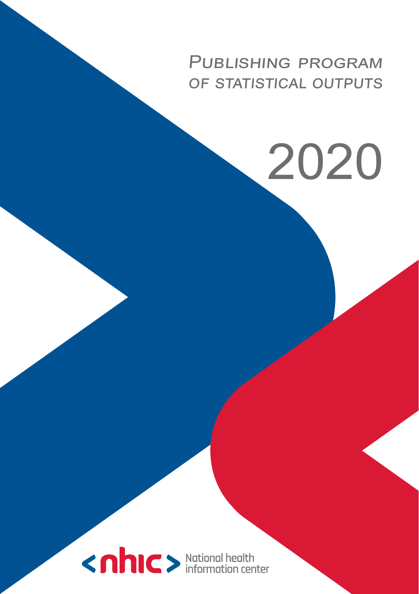# Publishing program OF STATISTICAL OUTPUTS

2020

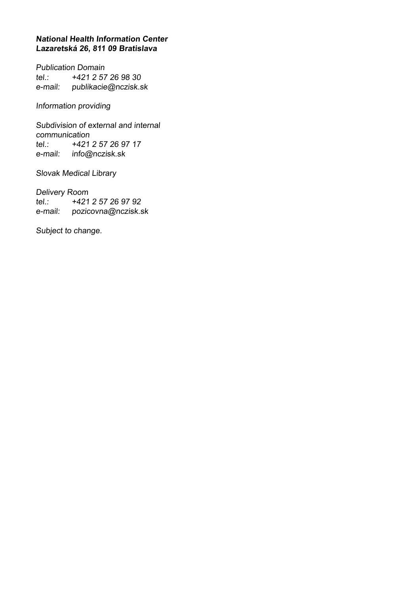#### **National Health Information Center Lazaretská 26, 811 09 Bratislava**

Publication Domain tel.: +421 2 57 26 98 30 e-mail: publikacie@nczisk.sk

Information providing

Subdivision of external and internal communication tel.: +421 2 57 26 97 17 e-mail: info@nczisk.sk

Slovak Medical Library

Delivery Room<br>tel.: +421 +421 2 57 26 97 92 e-mail: pozicovna@nczisk.sk

Subject to change.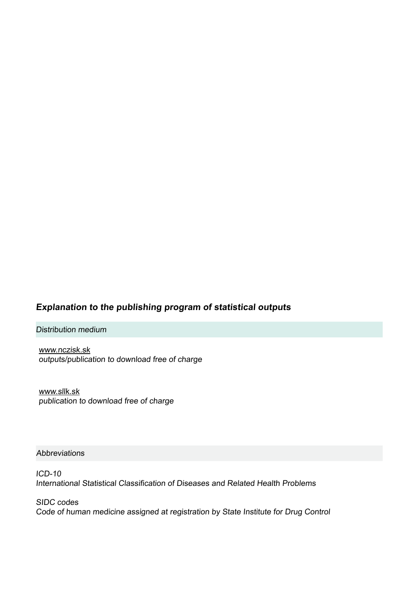### **Explanation to the publishing program of statistical outputs**

Distribution medium

www.nczisk.sk outputs/publication to download free of charge

www.sllk.sk publication to download free of charge

#### Abbreviations

ICD-10 International Statistical Classification of Diseases and Related Health Problems

SIDC codes Code of human medicine assigned at registration by State Institute for Drug Control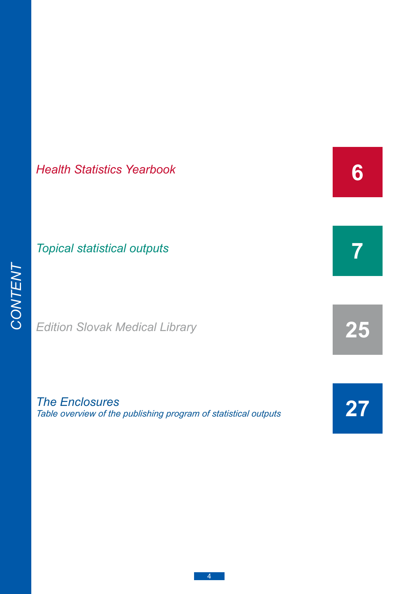# *[Health Statistics Yearbook](#page-5-0)*

# *[Topical statistical outputs](#page-6-0)*

*[Edition Slovak Medical Library](#page-24-0)*

*The Enclosures [Table overview of the publishing program of statistical outputs](#page-26-0)* **[27](#page-26-0)**

**[7](#page-6-0)**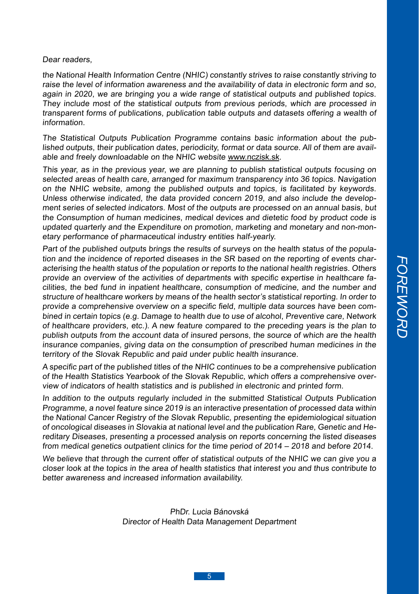#### Dear readers

the National Health Information Centre (NHIC) constantly strives to raise constantly striving to raise the level of information awareness and the availability of data in electronic form and so, again in 2020, we are bringing you a wide range of statistical outputs and published topics. They include most of the statistical outputs from previous periods, which are processed in transparent forms of publications, publication table outputs and datasets offering a wealth of information.

The Statistical Outputs Publication Programme contains basic information about the published outputs, their publication dates, periodicity, format or data source. All of them are available and freely downloadable on the NHIC website www.nczisk.sk.

This year, as in the previous year, we are planning to publish statistical outputs focusing on selected areas of health care, arranged for maximum transparency into 36 topics. Navigation on the NHIC website, among the published outputs and topics, is facilitated by keywords. Unless otherwise indicated, the data provided concern 2019, and also include the development series of selected indicators. Most of the outputs are processed on an annual basis, but the Consumption of human medicines, medical devices and dietetic food by product code is updated quarterly and the Expenditure on promotion, marketing and monetary and non-monetary performance of pharmaceutical industry entities half-yearly.

Part of the published outputs brings the results of surveys on the health status of the population and the incidence of reported diseases in the SR based on the reporting of events characterising the health status of the population or reports to the national health registries. Others provide an overview of the activities of departments with specific expertise in healthcare facilities, the bed fund in inpatient healthcare, consumption of medicine, and the number and structure of healthcare workers by means of the health sector's statistical reporting. In order to provide a comprehensive overview on a specific field, multiple data sources have been combined in certain topics (e.g. Damage to health due to use of alcohol, Preventive care, Network of healthcare providers, etc.). A new feature compared to the preceding years is the plan to publish outputs from the account data of insured persons, the source of which are the health insurance companies, giving data on the consumption of prescribed human medicines in the territory of the Slovak Republic and paid under public health insurance.

A specific part of the published titles of the NHIC continues to be a comprehensive publication of the Health Statistics Yearbook of the Slovak Republic, which offers a comprehensive overview of indicators of health statistics and is published in electronic and printed form.

In addition to the outputs regularly included in the submitted Statistical Outputs Publication Programme, a novel feature since 2019 is an interactive presentation of processed data within the National Cancer Registry of the Slovak Republic, presenting the epidemiological situation of oncological diseases in Slovakia at national level and the publication Rare, Genetic and Hereditary Diseases, presenting a processed analysis on reports concerning the listed diseases from medical genetics outpatient clinics for the time period of 2014 – 2018 and before 2014.

We believe that through the current offer of statistical outputs of the NHIC we can give you a closer look at the topics in the area of health statistics that interest you and thus contribute to better awareness and increased information availability.

> PhDr. Lucia Bánovská Director of Health Data Management Department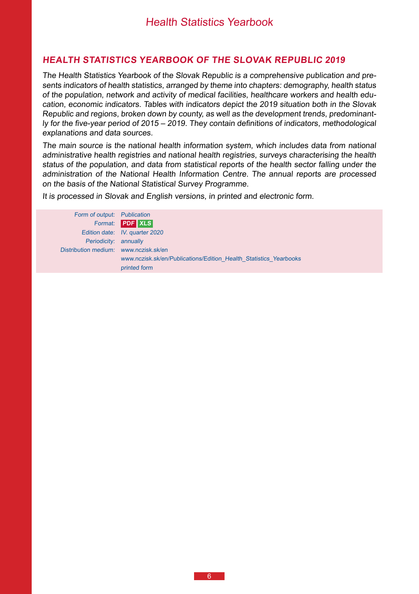#### <span id="page-5-0"></span>**Health Statistics Yearbook of the Slovak Republic 2019**

The Health Statistics Yearbook of the Slovak Republic is a comprehensive publication and presents indicators of health statistics, arranged by theme into chapters: demography, health status of the population, network and activity of medical facilities, healthcare workers and health education, economic indicators. Tables with indicators depict the 2019 situation both in the Slovak Republic and regions, broken down by county, as well as the development trends, predominantly for the five-year period of 2015 – 2019. They contain definitions of indicators, methodological explanations and data sources.

The main source is the national health information system, which includes data from national administrative health registries and national health registries, surveys characterising the health status of the population, and data from statistical reports of the health sector falling under the administration of the National Health Information Centre. The annual reports are processed on the basis of the National Statistical Survey Programme.

It is processed in Slovak and English versions, in printed and electronic form.

Form of output: Publication Format: **PDF XLS**  Edition date: **IV.** quarter 2020 Periodicity: annually Distribution medium: www.nczisk.sk/en www.nczisk.sk/en/Publications/Edition\_Health\_Statistics\_Yearbooks printed form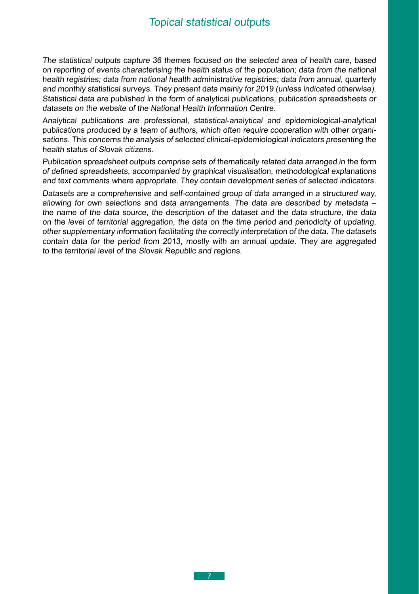<span id="page-6-0"></span>The statistical outputs capture 36 themes focused on the selected area of health care, based on reporting of events characterising the health status of the population; data from the national health registries; data from national health administrative registries; data from annual, quarterly and monthly statistical surveys. They present data mainly for 2019 (unless indicated otherwise). Statistical data are published in the form of analytical publications, publication spreadsheets or datasets on the website of the [National Health Information Centre](http://www.nczisk.sk).

Analytical publications are professional, statistical-analytical and epidemiological-analytical publications produced by a team of authors, which often require cooperation with other organisations. This concerns the analysis of selected clinical-epidemiological indicators presenting the health status of Slovak citizens.

Publication spreadsheet outputs comprise sets of thematically related data arranged in the form of defined spreadsheets, accompanied by graphical visualisation, methodological explanations and text comments where appropriate. They contain development series of selected indicators.

Datasets are a comprehensive and self-contained group of data arranged in a structured way, allowing for own selections and data arrangements. The data are described by metadata – the name of the data source, the description of the dataset and the data structure, the data on the level of territorial aggregation, the data on the time period and periodicity of updating, other supplementary information facilitating the correctly interpretation of the data. The datasets contain data for the period from 2013, mostly with an annual update. They are aggregated to the territorial level of the Slovak Republic and regions.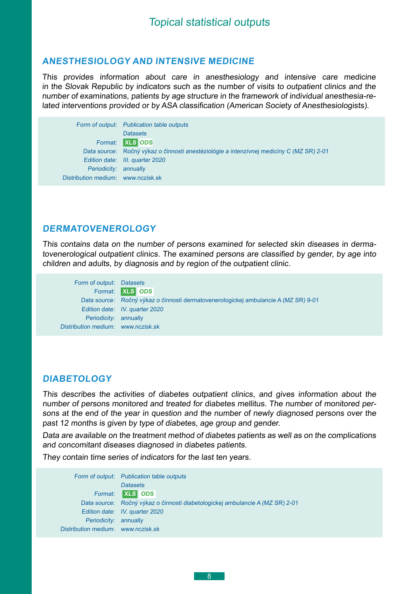#### <span id="page-7-0"></span>**Anesthesiology and intensive medicine**

This provides information about care in anesthesiology and intensive care medicine in the Slovak Republic by indicators such as the number of visits to outpatient clinics and the number of examinations, patients by age structure in the framework of individual anesthesia-related interventions provided or by ASA classification (American Society of Anesthesiologists).

Form of output: Publication table outputs **Datasets** Format: **XLS ODS** Data source: Ročný výkaz o činnosti anestéziológie a intenzívnej medicíny C (MZ SR) 2-01 Edition date: III. quarter 2020 Periodicity: annually Distribution medium: [www.nczisk.sk](http://www.nczisk.sk/Statisticke_vystupy/Tematicke_statisticke_vystupy/Pages/default.aspx)

#### **Dermatovenerology**

This contains data on the number of persons examined for selected skin diseases in dermatovenerological outpatient clinics. The examined persons are classified by gender, by age into children and adults, by diagnosis and by region of the outpatient clinic.

Form of output: Datasets Format: **XLS ODS**  Data source: Ročný výkaz o činnosti dermatovenerologickej ambulancie A (MZ SR) 9-01 Edition date: IV. quarter 2020 Periodicity: annually Distribution medium: [www.nczisk.sk](http://www.nczisk.sk/Statisticke_vystupy/Tematicke_statisticke_vystupy/Pages/default.aspx)

#### **Diabetology**

This describes the activities of diabetes outpatient clinics, and gives information about the number of persons monitored and treated for diabetes mellitus. The number of monitored persons at the end of the year in question and the number of newly diagnosed persons over the past 12 months is given by type of diabetes, age group and gender.

Data are available on the treatment method of diabetes patients as well as on the complications and concomitant diseases diagnosed in diabetes patients.

They contain time series of indicators for the last ten years.

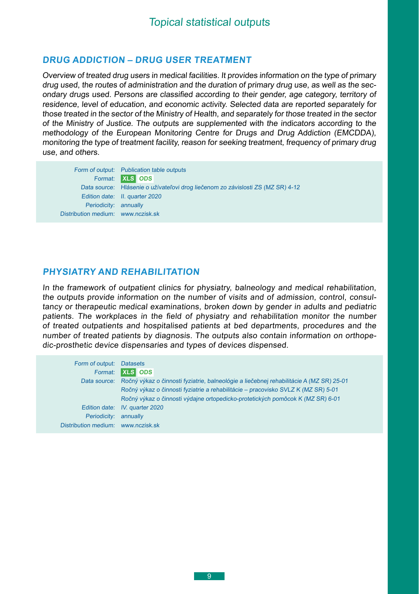#### <span id="page-8-0"></span>**Drug addiction – drug user treatment**

Overview of treated drug users in medical facilities. It provides information on the type of primary drug used, the routes of administration and the duration of primary drug use, as well as the secondary drugs used. Persons are classified according to their gender, age category, territory of residence, level of education, and economic activity. Selected data are reported separately for those treated in the sector of the Ministry of Health, and separately for those treated in the sector of the Ministry of Justice. The outputs are supplemented with the indicators according to the methodology of the European Monitoring Centre for Drugs and Drug Addiction (EMCDDA), monitoring the type of treatment facility, reason for seeking treatment, frequency of primary drug use, and others.

Form of output: Publication table outputs Format: **XLS ODS**  Data source: Hlásenie o užívateľovi drog liečenom zo závislosti ZS (MZ SR) 4-12 Edition date: II. quarter 2020 Periodicity: annually Distribution medium: [www.nczisk.sk](http://www.nczisk.sk/Statisticke_vystupy/Tematicke_statisticke_vystupy/Pages/default.aspx)

#### **Physiatry and Rehabilitation**

In the framework of outpatient clinics for physiatry, balneology and medical rehabilitation, the outputs provide information on the number of visits and of admission, control, consultancy or therapeutic medical examinations, broken down by gender in adults and pediatric patients. The workplaces in the field of physiatry and rehabilitation monitor the number of treated outpatients and hospitalised patients at bed departments, procedures and the number of treated patients by diagnosis. The outputs also contain information on orthopedic-prosthetic device dispensaries and types of devices dispensed.

| Form of output: Datasets           |                                                                                                      |
|------------------------------------|------------------------------------------------------------------------------------------------------|
| Format:                            | <b>XLS</b> ODS                                                                                       |
|                                    | Data source: Ročný výkaz o činnosti fyziatrie, balneológie a liečebnej rehabilitácie A (MZ SR) 25-01 |
|                                    | Ročný výkaz o činnosti fyziatrie a rehabilitácie – pracovisko SVLZ K (MZ SR) 5-01                    |
|                                    | Ročný výkaz o činnosti výdajne ortopedicko-protetických pomôcok K (MZ SR) 6-01                       |
|                                    | Edition date: IV. quarter 2020                                                                       |
| Periodicity:                       | annually                                                                                             |
| Distribution medium: www.nczisk.sk |                                                                                                      |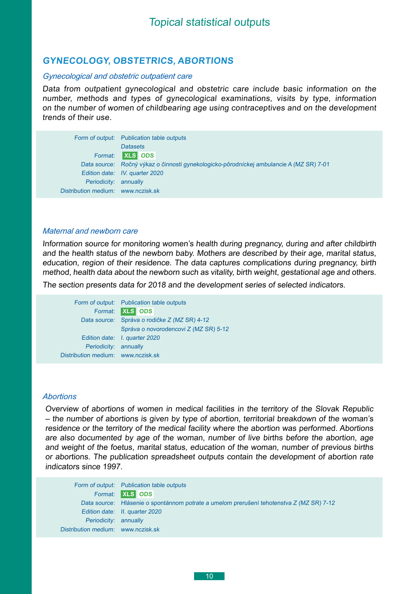### <span id="page-9-0"></span>**Gynecology, obstetrics, abortions**

#### *Gynecological and obstetric outpatient care*

Data from outpatient gynecological and obstetric care include basic information on the number, methods and types of gynecological examinations, visits by type, information on the number of women of childbearing age using contraceptives and on the development trends of their use.

|                                    | Form of output: Publication table outputs                                               |  |
|------------------------------------|-----------------------------------------------------------------------------------------|--|
|                                    | <b>Datasets</b>                                                                         |  |
|                                    | Format: <b>XLS</b> ODS                                                                  |  |
|                                    | Data source: Ročný výkaz o činnosti gynekologicko-pôrodníckej ambulancie A (MZ SR) 7-01 |  |
|                                    | Edition date: IV. quarter 2020                                                          |  |
| Periodicity: annually              |                                                                                         |  |
| Distribution medium: www.nczisk.sk |                                                                                         |  |

#### *Maternal and newborn care*

Information source for monitoring women's health during pregnancy, during and after childbirth and the health status of the newborn baby. Mothers are described by their age, marital status, education, region of their residence. The data captures complications during pregnancy, birth method, health data about the newborn such as vitality, birth weight, gestational age and others.

The section presents data for 2018 and the development series of selected indicators.

|                                    | Form of output: Publication table outputs    |
|------------------------------------|----------------------------------------------|
|                                    | Format: XLS ODS                              |
|                                    | Data source: Správa o rodičke Z (MZ SR) 4-12 |
|                                    | Správa o novorodencovi Z (MZ SR) 5-12        |
|                                    | Edition date: I. quarter 2020                |
| Periodicity: annually              |                                              |
| Distribution medium: www.nczisk.sk |                                              |
|                                    |                                              |

#### *Abortions*

Overview of abortions of women in medical facilities in the territory of the Slovak Republic – the number of abortions is given by type of abortion, territorial breakdown of the woman's residence or the territory of the medical facility where the abortion was performed. Abortions are also documented by age of the woman, number of live births before the abortion, age and weight of the foetus, marital status, education of the woman, number of previous births or abortions. The publication spreadsheet outputs contain the development of abortion rate indicators since 1997.

|                                    | Form of output: Publication table outputs                                                |
|------------------------------------|------------------------------------------------------------------------------------------|
|                                    | Format: XLS ODS                                                                          |
|                                    | Data source: Hlásenie o spontánnom potrate a umelom prerušení tehotenstva Z (MZ SR) 7-12 |
|                                    | Edition date: II. quarter 2020                                                           |
| Periodicity: annually              |                                                                                          |
| Distribution medium: www.nczisk.sk |                                                                                          |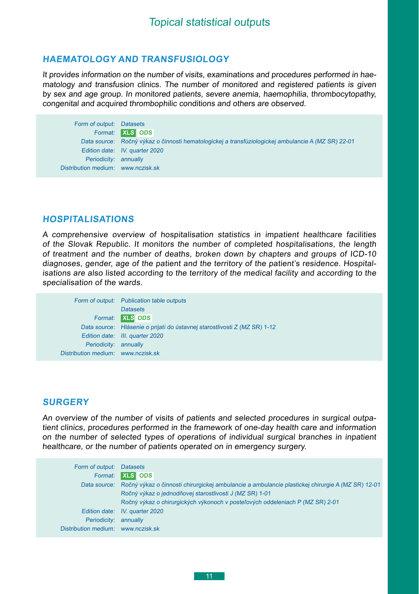## <span id="page-10-0"></span>**Haematology and Transfusiology**

It provides information on the number of visits, examinations and procedures performed in haematology and transfusion clinics. The number of monitored and registered patients is given by sex and age group. In monitored patients, severe anemia, haemophilia, thrombocytopathy, congenital and acquired thrombophilic conditions and others are observed.

Form of output: Datasets Format: **XLS ODS**  Data source: Ročný výkaz o činnosti hematologickej a transfúziologickej ambulancie A (MZ SR) 22-01 Edition date: IV. quarter 2020 Periodicity: annually Distribution medium: [www.nczisk.sk](http://www.nczisk.sk/Statisticke_vystupy/Tematicke_statisticke_vystupy/Pages/default.aspx)

#### **HOSPITALISATIONS**

A comprehensive overview of hospitalisation statistics in impatient healthcare facilities of the Slovak Republic. It monitors the number of completed hospitalisations, the length of treatment and the number of deaths, broken down by chapters and groups of ICD-10 diagnoses, gender, age of the patient and the territory of the patient's residence. Hospitalisations are also listed according to the territory of the medical facility and according to the specialisation of the wards.

|                                    | Form of output: Publication table outputs                                 |
|------------------------------------|---------------------------------------------------------------------------|
|                                    | <b>Datasets</b>                                                           |
|                                    | Format: XLS ODS                                                           |
|                                    | Data source: Hlásenie o prijatí do ústavnej starostlivosti Z (MZ SR) 1-12 |
|                                    | Edition date: III. quarter 2020                                           |
| Periodicity: annually              |                                                                           |
| Distribution medium: www.nczisk.sk |                                                                           |
|                                    |                                                                           |

#### **Surgery**

An overview of the number of visits of patients and selected procedures in surgical outpatient clinics, procedures performed in the framework of one-day health care and information on the number of selected types of operations of individual surgical branches in inpatient healthcare, or the number of patients operated on in emergency surgery.

| Form of output: Datasets           |                                                                                                               |
|------------------------------------|---------------------------------------------------------------------------------------------------------------|
| Format:                            | <b>XLS</b> ODS                                                                                                |
|                                    | Data source: Ročný výkaz o činnosti chirurgickej ambulancie a ambulancie plastickej chirurgie A (MZ SR) 12-01 |
|                                    | Ročný výkaz o jednodňovej starostlivosti J (MZ SR) 1-01                                                       |
|                                    | Ročný výkaz o chirurgických výkonoch v posteľových oddeleniach P (MZ SR) 2-01                                 |
|                                    | Edition date: IV. quarter 2020                                                                                |
| Periodicity:                       | annually                                                                                                      |
| Distribution medium: www.nczisk.sk |                                                                                                               |
|                                    |                                                                                                               |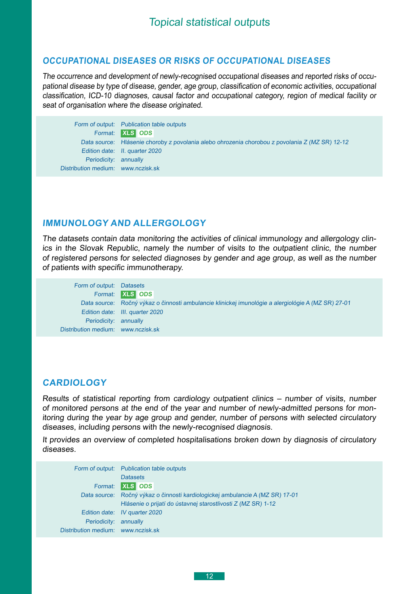#### <span id="page-11-0"></span>**Occupational diseases or risks of occupational diseases**

The occurrence and development of newly-recognised occupational diseases and reported risks of occupational disease by type of disease, gender, age group, classification of economic activities, occupational classification, ICD-10 diagnoses, causal factor and occupational category, region of medical facility or seat of organisation where the disease originated.



#### **Immunology and allergology**

The datasets contain data monitoring the activities of clinical immunology and allergology clinics in the Slovak Republic, namely the number of visits to the outpatient clinic, the number of registered persons for selected diagnoses by gender and age group, as well as the number of patients with specific immunotherapy.



## **Cardiology**

Results of statistical reporting from cardiology outpatient clinics – number of visits, number of monitored persons at the end of the year and number of newly-admitted persons for monitoring during the year by age group and gender, number of persons with selected circulatory diseases, including persons with the newly-recognised diagnosis.

It provides an overview of completed hospitalisations broken down by diagnosis of circulatory diseases.

|                                    | Form of output: Publication table outputs                        |  |
|------------------------------------|------------------------------------------------------------------|--|
|                                    | <b>Datasets</b>                                                  |  |
| Format:                            | <b>XLS</b> ODS                                                   |  |
| Data source:                       | Ročný výkaz o činnosti kardiologickej ambulancie A (MZ SR) 17-01 |  |
|                                    | Hlásenie o prijatí do ústavnej starostlivosti Z (MZ SR) 1-12     |  |
|                                    | Edition date: IV quarter 2020                                    |  |
| Periodicity:                       | annually                                                         |  |
| Distribution medium: www.nczisk.sk |                                                                  |  |
|                                    |                                                                  |  |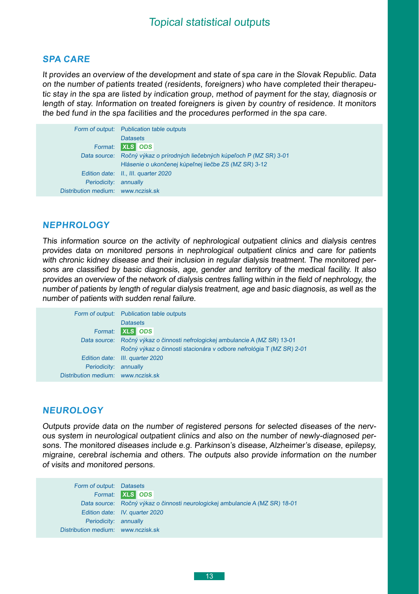#### <span id="page-12-0"></span>**Spa care**

It provides an overview of the development and state of spa care in the Slovak Republic. Data on the number of patients treated (residents, foreigners) who have completed their therapeutic stay in the spa are listed by indication group, method of payment for the stay, diagnosis or length of stay. Information on treated foreigners is given by country of residence. It monitors the bed fund in the spa facilities and the procedures performed in the spa care.

|                                    | Form of output: Publication table outputs                   |
|------------------------------------|-------------------------------------------------------------|
|                                    | <b>Datasets</b>                                             |
| Format:                            | <b>XLS</b> ODS                                              |
| Data source:                       | Ročný výkaz o prírodných liečebných kúpeľoch P (MZ SR) 3-01 |
|                                    | Hlásenie o ukončenej kúpeľnej liečbe ZS (MZ SR) 3-12        |
|                                    | Edition date: II., III. quarter 2020                        |
| Periodicity:                       | annually                                                    |
| Distribution medium: www.nczisk.sk |                                                             |

#### **Nephrology**

This information source on the activity of nephrological outpatient clinics and dialysis centres provides data on monitored persons in nephrological outpatient clinics and care for patients with chronic kidney disease and their inclusion in regular dialysis treatment. The monitored persons are classified by basic diagnosis, age, gender and territory of the medical facility. It also provides an overview of the network of dialysis centres falling within in the field of nephrology, the number of patients by length of regular dialysis treatment, age and basic diagnosis, as well as the number of patients with sudden renal failure.

|                                    | Form of output: Publication table outputs                            |
|------------------------------------|----------------------------------------------------------------------|
|                                    | <b>Datasets</b>                                                      |
| Format:                            | <b>XLS</b> ODS                                                       |
| Data source:                       | Ročný výkaz o činnosti nefrologickej ambulancie A (MZ SR) 13-01      |
|                                    | Ročný výkaz o činnosti stacionára v odbore nefrológia T (MZ SR) 2-01 |
|                                    | Edition date: III. quarter 2020                                      |
| Periodicity:                       | annually                                                             |
| Distribution medium: www.nczisk.sk |                                                                      |

#### **Neurology**

Outputs provide data on the number of registered persons for selected diseases of the nervous system in neurological outpatient clinics and also on the number of newly-diagnosed persons. The monitored diseases include e.g. Parkinson's disease, Alzheimer's disease, epilepsy, migraine, cerebral ischemia and others. The outputs also provide information on the number <sup>o</sup>f visits and monitored persons.

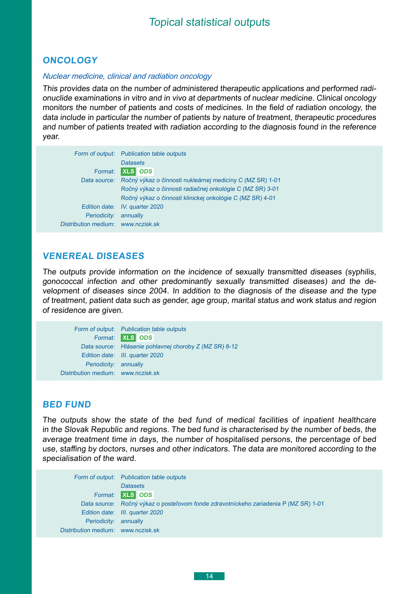#### <span id="page-13-0"></span>**Oncology**

#### *Nuclear medicine, clinical and radiation oncology*

This provides data on the number of administered therapeutic applications and performed radionuclide examinations in vitro and in vivo at departments of nuclear medicine. Clinical oncology monitors the number of patients and costs of medicines. In the field of radiation oncology, the data include in particular the number of patients by nature of treatment, therapeutic procedures and number of patients treated with radiation according to the diagnosis found in the reference year.

|                                    | Form of output: Publication table outputs                 |
|------------------------------------|-----------------------------------------------------------|
|                                    | <b>Datasets</b>                                           |
| Format:                            | <b>XLS</b> ODS                                            |
| Data source:                       | Ročný výkaz o činnosti nukleárnej medicíny C (MZ SR) 1-01 |
|                                    | Ročný výkaz o činnosti radiačnej onkológie C (MZ SR) 3-01 |
|                                    | Ročný výkaz o činnosti klinickej onkológie C (MZ SR) 4-01 |
|                                    | Edition date: IV. quarter 2020                            |
| Periodicity:                       | annually                                                  |
| Distribution medium: www.nczisk.sk |                                                           |

#### **Venereal diseases**

The outputs provide information on the incidence of sexually transmitted diseases (syphilis, gonococcal infection and other predominantly sexually transmitted diseases) and the development of diseases since 2004. In addition to the diagnosis of the disease and the type of treatment, patient data such as gender, age group, marital status and work status and region of residence are given.

|                                    | Form of output: Publication table outputs              |
|------------------------------------|--------------------------------------------------------|
|                                    | Format: XLS ODS                                        |
|                                    | Data source: Hlásenie pohlavnej choroby Z (MZ SR) 8-12 |
|                                    | Edition date: III. quarter 2020                        |
| Periodicity: annually              |                                                        |
| Distribution medium: www.nczisk.sk |                                                        |

#### **Bed Fund**

The outputs show the state of the bed fund of medical facilities of inpatient healthcare in the Slovak Republic and regions. The bed fund is characterised by the number of beds, the average treatment time in days, the number of hospitalised persons, the percentage of bed use, staffing by doctors, nurses and other indicators. The data are monitored according to the specialisation of the ward.

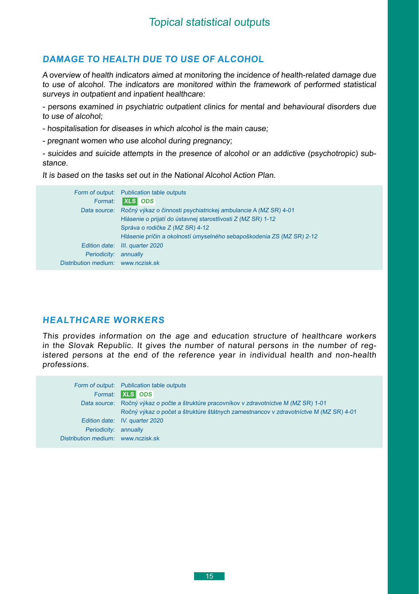## <span id="page-14-0"></span>**Damage to health due to use of alcohol**

A overview of health indicators aimed at monitoring the incidence of health-related damage due to use of alcohol. The indicators are monitored within the framework of performed statistical surveys in outpatient and inpatient healthcare:

- persons examined in psychiatric outpatient clinics for mental and behavioural disorders due to use of alcohol;

- hospitalisation for diseases in which alcohol is the main cause;

- pregnant women who use alcohol during pregnancy;

- suicides and suicide attempts in the presence of alcohol or an addictive (psychotropic) substance.

It is based on the tasks set out in the National Alcohol Action Plan.

|                      | Form of output: Publication table outputs                             |
|----------------------|-----------------------------------------------------------------------|
| Format:              | <b>XLS</b> ODS                                                        |
| Data source:         | Ročný výkaz o činnosti psychiatrickej ambulancie A (MZ SR) 4-01       |
|                      | Hlásenie o prijatí do ústavnej starostlivosti Z (MZ SR) 1-12          |
|                      | Správa o rodičke Z (MZ SR) 4-12                                       |
|                      | Hlásenie príčin a okolností úmyselného sebapoškodenia ZS (MZ SR) 2-12 |
| Edition date:        | III. quarter 2020                                                     |
| Periodicity:         | annually                                                              |
| Distribution medium: | www.nczisk.sk                                                         |

## **Healthcare workers**

This provides information on the age and education structure of healthcare workers in the Slovak Republic. It gives the number of natural persons in the number of registered persons at the end of the reference year in individual health and non-health professions.

|                                                             | Form of output: Publication table outputs<br>Format: XLS ODS                                                                                                                                                      |
|-------------------------------------------------------------|-------------------------------------------------------------------------------------------------------------------------------------------------------------------------------------------------------------------|
|                                                             | Data source: Ročný výkaz o počte a štruktúre pracovníkov v zdravotníctve M (MZ SR) 1-01<br>Ročný výkaz o počet a štruktúre štátnych zamestnancov v zdravotníctve M (MZ SR) 4-01<br>Edition date: IV. quarter 2020 |
| Periodicity: annually<br>Distribution medium: www.nczisk.sk |                                                                                                                                                                                                                   |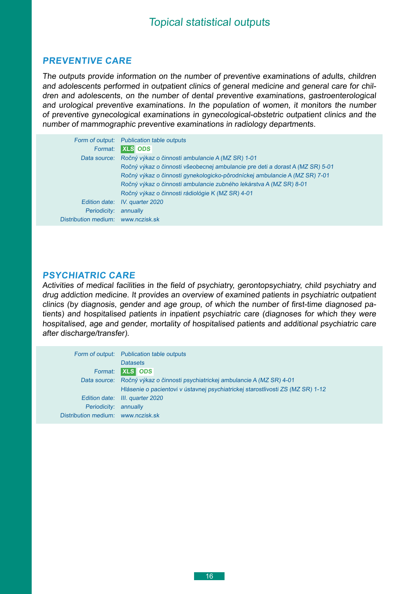#### <span id="page-15-0"></span>**Preventive CARE**

The outputs provide information on the number of preventive examinations of adults, children and adolescents performed in outpatient clinics of general medicine and general care for children and adolescents, on the number of dental preventive examinations, gastroenterological and urological preventive examinations. In the population of women, it monitors the number of preventive gynecological examinations in gynecological-obstetric outpatient clinics and the number of mammographic preventive examinations in radiology departments.

| Format:                            | Form of output: Publication table outputs<br><b>XLS</b> ODS                   |
|------------------------------------|-------------------------------------------------------------------------------|
| Data source:                       | Ročný výkaz o činnosti ambulancie A (MZ SR) 1-01                              |
|                                    | Ročný výkaz o činnosti všeobecnej ambulancie pre deti a dorast A (MZ SR) 5-01 |
|                                    | Ročný výkaz o činnosti gynekologicko-pôrodníckej ambulancie A (MZ SR) 7-01    |
|                                    | Ročný výkaz o činnosti ambulancie zubného lekárstva A (MZ SR) 8-01            |
|                                    | Ročný výkaz o činnosti rádiológie K (MZ SR) 4-01                              |
| Edition date:                      | IV. quarter 2020                                                              |
| Periodicity:                       | annually                                                                      |
| Distribution medium: www.nczisk.sk |                                                                               |

#### **PSYCHIATRIC CARE**

Activities of medical facilities in the field of psychiatry, gerontopsychiatry, child psychiatry and drug addiction medicine. It provides an overview of examined patients in psychiatric outpatient clinics (by diagnosis, gender and age group, of which the number of first-time diagnosed patients) and hospitalised patients in inpatient psychiatric care (diagnoses for which they were hospitalised, age and gender, mortality of hospitalised patients and additional psychiatric care after discharge/transfer).

|                                    | Form of output: Publication table outputs                                      |
|------------------------------------|--------------------------------------------------------------------------------|
|                                    | <b>Datasets</b>                                                                |
| Format:                            | <b>XLS</b> ODS                                                                 |
|                                    | Data source: Ročný výkaz o činnosti psychiatrickej ambulancie A (MZ SR) 4-01   |
|                                    | Hlásenie o pacientovi v ústavnej psychiatrickej starostlivosti ZS (MZ SR) 1-12 |
|                                    | Edition date: III. quarter 2020                                                |
| Periodicity: annually              |                                                                                |
| Distribution medium: www.nczisk.sk |                                                                                |
|                                    |                                                                                |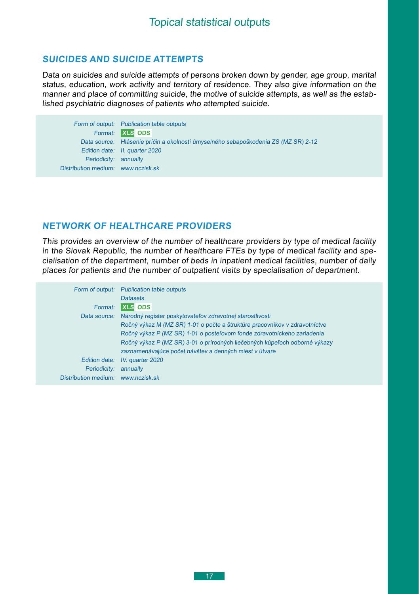## <span id="page-16-0"></span>**suicideS and suicide attempts**

Data on suicides and suicide attempts of persons broken down by gender, age group, marital status, education, work activity and territory of residence. They also give information on the manner and place of committing suicide, the motive of suicide attempts, as well as the established psychiatric diagnoses of patients who attempted suicide.

Form of output: Publication table outputs Format: **XLS ODS**  Data source: Hlásenie príčin a okolností úmyselného sebapoškodenia ZS (MZ SR) 2-12 Edition date: II. quarter 2020 Periodicity: annually Distribution medium: [www.nczisk.sk](http://www.nczisk.sk/Statisticke_vystupy/Tematicke_statisticke_vystupy/Pages/default.aspx)

## **Network of healthcare providers**

This provides an overview of the number of healthcare providers by type of medical facility in the Slovak Republic, the number of healthcare FTEs by type of medical facility and specialisation of the department, number of beds in inpatient medical facilities, number of daily places for patients and the number of outpatient visits by specialisation of department.

|                                    | Form of output: Publication table outputs                                  |
|------------------------------------|----------------------------------------------------------------------------|
|                                    | <b>Datasets</b>                                                            |
| Format:                            | <b>XLS ODS</b>                                                             |
| Data source:                       | Národný register poskytovateľov zdravotnej starostlivosti                  |
|                                    | Ročný výkaz M (MZ SR) 1-01 o počte a štruktúre pracovníkov v zdravotníctve |
|                                    | Ročný výkaz P (MZ SR) 1-01 o posteľovom fonde zdravotníckeho zariadenia    |
|                                    | Ročný výkaz P (MZ SR) 3-01 o prírodných liečebných kúpeľoch odborné výkazy |
|                                    | zaznamenávajúce počet návštev a denných miest v útvare                     |
| Edition date:                      | IV. quarter 2020                                                           |
| Periodicity:                       | annually                                                                   |
| Distribution medium: www.nczisk.sk |                                                                            |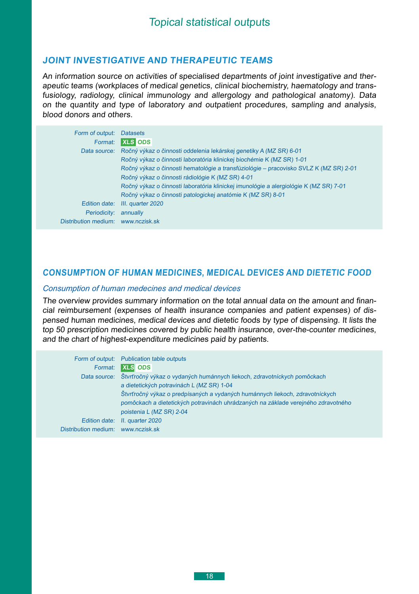## <span id="page-17-0"></span>**JoinT investigative and therapeutic teams**

An information source on activities of specialised departments of joint investigative and therapeutic teams (workplaces of medical genetics, clinical biochemistry, haematology and transfusiology, radiology, clinical immunology and allergology and pathological anatomy). Data on the quantity and type of laboratory and outpatient procedures, sampling and analysis, blood donors and others.

| <b>Datasets</b>                                                                       |
|---------------------------------------------------------------------------------------|
| <b>XLS ODS</b>                                                                        |
| Ročný výkaz o činnosti oddelenia lekárskej genetiky A (MZ SR) 6-01                    |
| Ročný výkaz o činnosti laboratória klinickej biochémie K (MZ SR) 1-01                 |
| Ročný výkaz o činnosti hematológie a transfúziológie – pracovisko SVLZ K (MZ SR) 2-01 |
| Ročný výkaz o činnosti rádiológie K (MZ SR) 4-01                                      |
| Ročný výkaz o činnosti laboratória klinickej imunológie a alergiológie K (MZ SR) 7-01 |
| Ročný výkaz o činnosti patologickej anatómie K (MZ SR) 8-01                           |
| III. quarter 2020                                                                     |
| annually                                                                              |
| www.nczisk.sk                                                                         |
|                                                                                       |

## **Consumption of human medicines, medical devices and dietetic food**

#### *Consumption of human medecines and medical devices*

The overview provides summary information on the total annual data on the amount and financial reimbursement (expenses of health insurance companies and patient expenses) of dispensed human medicines, medical devices and dietetic foods by type of dispensing. It lists the top 50 prescription medicines covered by public health insurance, over-the-counter medicines, and the chart of highest-expenditure medicines paid by patients.

|                                    | Form of output: Publication table outputs                                         |
|------------------------------------|-----------------------------------------------------------------------------------|
| Format:                            | <b>XLS</b> ODS                                                                    |
| Data source:                       | Štvrťročný výkaz o vydaných humánnych liekoch, zdravotníckych pomôckach           |
|                                    | a dietetických potravinách L (MZ SR) 1-04                                         |
|                                    | Štvrťročný výkaz o predpísaných a vydaných humánnych liekoch, zdravotníckych      |
|                                    | pomôckach a dietetických potravinách uhrádzaných na základe verejného zdravotného |
|                                    | poistenia L (MZ SR) 2-04                                                          |
|                                    | Edition date: II. quarter 2020                                                    |
| Distribution medium: www.nczisk.sk |                                                                                   |
|                                    |                                                                                   |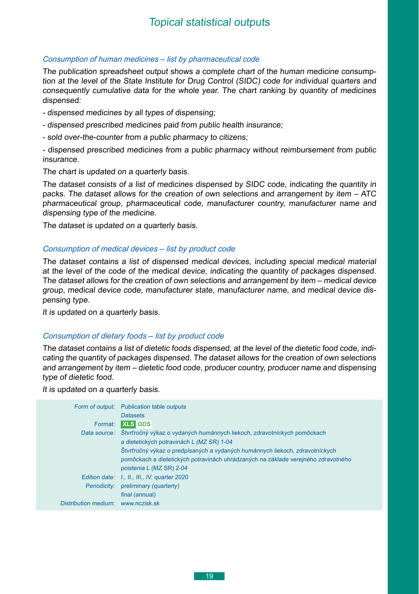#### <span id="page-18-0"></span>*Consumption of human medicines – list by pharmaceutical code*

The publication spreadsheet output shows a complete chart of the human medicine consumption at the level of the State Institute for Drug Control (SIDC) code for individual quarters and consequently cumulative data for the whole year. The chart ranking by quantity of medicines dispensed:

- dispensed medicines by all types of dispensing;
- dispensed prescribed medicines paid from public health insurance;
- sold over-the-counter from a public pharmacy to citizens;

- dispensed prescribed medicines from a public pharmacy without reimbursement from public insurance.

The chart is updated on a quarterly basis.

The dataset consists of a list of medicines dispensed by SIDC code, indicating the quantity in packs. The dataset allows for the creation of own selections and arrangement by item – ATC pharmaceutical group, pharmaceutical code, manufacturer country, manufacturer name and dispensing type of the medicine.

The dataset is updated on a quarterly basis.

#### *Consumption of medical devices – list by product code*

The dataset contains a list of dispensed medical devices, including special medical material at the level of the code of the medical device, indicating the quantity of packages dispensed. The dataset allows for the creation of own selections and arrangement by item – medical device group, medical device code, manufacturer state, manufacturer name, and medical device dispensing type.

It is updated on a quarterly basis.

#### *Consumption of dietary foods – list by product code*

The dataset contains a list of dietetic foods dispensed, at the level of the dietetic food code, indicating the quantity of packages dispensed. The dataset allows for the creation of own selections and arrangement by item – dietetic food code, producer country, producer name and dispensing type of dietetic food.

It is updated on a quarterly basis.

| Form of output:      | <b>Publication table outputs</b>                                                  |
|----------------------|-----------------------------------------------------------------------------------|
|                      | <b>Datasets</b>                                                                   |
| Format:              | <b>XLS ODS</b>                                                                    |
| Data source:         | Štvrťročný výkaz o vydaných humánnych liekoch, zdravotníckych pomôckach           |
|                      | a dietetických potravinách L (MZ SR) 1-04                                         |
|                      | Štvrťročný výkaz o predpísaných a vydaných humánnych liekoch, zdravotníckych      |
|                      | pomôckach a dietetických potravinách uhrádzaných na základe verejného zdravotného |
|                      | poistenia L (MZ SR) 2-04                                                          |
| Edition date:        | I., II., III., IV. quarter 2020                                                   |
| Periodicity:         | preliminary (quarterly)                                                           |
|                      | final (annual)                                                                    |
| Distribution medium: | www.nczisk.sk                                                                     |
|                      |                                                                                   |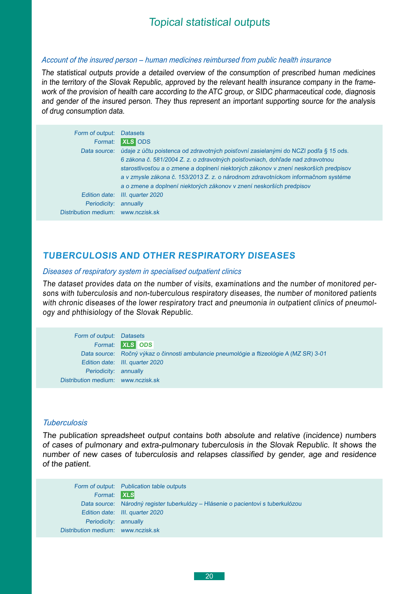#### <span id="page-19-0"></span>*Account of the insured person – human medicines reimbursed from public health insurance*

The statistical outputs provide a detailed overview of the consumption of prescribed human medicines in the territory of the Slovak Republic, approved by the relevant health insurance company in the framework of the provision of health care according to the ATC group, or SIDC pharmaceutical code, diagnosis and gender of the insured person. They thus represent an important supporting source for the analysis of drug consumption data.

| Form of output:      | <b>Datasets</b>                                                                      |
|----------------------|--------------------------------------------------------------------------------------|
| Format:              | <b>XLS</b> ODS                                                                       |
| Data source:         | údaje z účtu poistenca od zdravotných poisťovní zasielanými do NCZI podľa § 15 ods.  |
|                      | 6 zákona č. 581/2004 Z. z. o zdravotných poisťovniach, dohľade nad zdravotnou        |
|                      | starostlivosťou a o zmene a doplnení niektorých zákonov v znení neskorších predpisov |
|                      | a v zmysle zákona č. 153/2013 Z. z. o národnom zdravotníckom informačnom systéme     |
|                      | a o zmene a doplnení niektorých zákonov v znení neskorších predpisov                 |
| Edition date:        | III. quarter 2020                                                                    |
| Periodicity:         | annually                                                                             |
| Distribution medium: | www.nczisk.sk                                                                        |

#### **Tuberculosis and other respiratory diseases**

#### *Diseases of respiratory system in specialised outpatient clinics*

The dataset provides data on the number of visits, examinations and the number of monitored persons with tuberculosis and non-tuberculous respiratory diseases, the number of monitored patients with chronic diseases of the lower respiratory tract and pneumonia in outpatient clinics of pneumology and phthisiology of the Slovak Republic.

| Form of output: Datasets           |                                                                                         |
|------------------------------------|-----------------------------------------------------------------------------------------|
|                                    | Format: <b>XLS</b> ODS                                                                  |
|                                    | Data source: Ročný výkaz o činnosti ambulancie pneumológie a ftizeológie A (MZ SR) 3-01 |
|                                    | Edition date: III. quarter 2020                                                         |
| Periodicity: annually              |                                                                                         |
| Distribution medium: www.nczisk.sk |                                                                                         |

#### *Tuberculosis*

The publication spreadsheet output contains both absolute and relative (incidence) numbers of cases of pulmonary and extra-pulmonary tuberculosis in the Slovak Republic. It shows the number of new cases of tuberculosis and relapses classified by gender, age and residence of the patient.

|                                    | Form of output: Publication table outputs                                        |
|------------------------------------|----------------------------------------------------------------------------------|
| Format: XLS                        |                                                                                  |
|                                    | Data source: Národný register tuberkulózy – Hlásenie o pacientovi s tuberkulózou |
|                                    | Edition date: III. quarter 2020                                                  |
| Periodicity: annually              |                                                                                  |
| Distribution medium: www.nczisk.sk |                                                                                  |
|                                    |                                                                                  |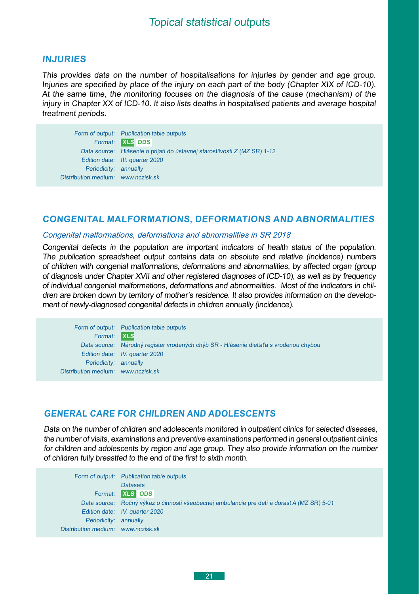#### <span id="page-20-0"></span>**Injuries**

This provides data on the number of hospitalisations for injuries by gender and age group. Injuries are specified by place of the injury on each part of the body (Chapter XIX of ICD-10). At the same time, the monitoring focuses on the diagnosis of the cause (mechanism) of the injury in Chapter XX of ICD-10. It also lists deaths in hospitalised patients and average hospital treatment periods.

Form of output: Publication table outputs Format: **XLS ODS**  Data source: Hlásenie o prijatí do ústavnej starostlivosti Z (MZ SR) 1-12 Edition date: III. quarter 2020 Periodicity: annually Distribution medium: [www.nczisk.sk](http://www.nczisk.sk/Statisticke_vystupy/Tematicke_statisticke_vystupy/Pages/default.aspx)

#### **Congenital malformations, deformations and abnormalities**

#### *Congenital malformations, deformations and abnormalities in SR 2018*

Congenital defects in the population are important indicators of health status of the population. The publication spreadsheet output contains data on absolute and relative (incidence) numbers of children with congenial malformations, deformations and abnormalities, by affected organ (group of diagnosis under Chapter XVII and other registered diagnoses of ICD-10), as well as by frequency of individual congenial malformations, deformations and abnormalities. Most of the indicators in children are broken down by territory of mother's residence. It also provides information on the development of newly-diagnosed congenital defects in children annually (incidence).

Form of output: Publication table outputs Format: **XLS** Data source: Národný register vrodených chýb SR - Hlásenie dieťaťa s vrodenou chybou Edition date: IV. quarter 2020 Periodicity: annually Distribution medium: [www.nczisk.sk](http://www.nczisk.sk/Statisticke_vystupy/Tematicke_statisticke_vystupy/Pages/default.aspx)

#### **General care for children and adolescents**

Data on the number of children and adolescents monitored in outpatient clinics for selected diseases, the number of visits, examinations and preventive examinations performed in general outpatient clinics for children and adolescents by region and age group. They also provide information on the number of children fully breastfed to the end of the first to sixth month.

Form of output: Publication table outputs **Datasets** Format: **XLS ODS**  Data source: Ročný výkaz o činnosti všeobecnej ambulancie pre deti a dorast A (MZ SR) 5-01 Edition date: IV. quarter 2020 Periodicity: annually Distribution medium: [www.nczisk.sk](http://www.nczisk.sk/Statisticke_vystupy/Tematicke_statisticke_vystupy/Pages/default.aspx)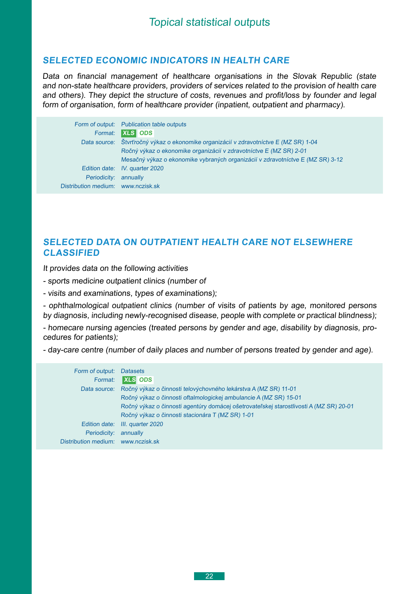## <span id="page-21-0"></span>**Selected economic indicators in health care**

Data on financial management of healthcare organisations in the Slovak Republic (state and non-state healthcare providers, providers of services related to the provision of health care and others). They depict the structure of costs, revenues and profit/loss by founder and legal form of organisation, form of healthcare provider (inpatient, outpatient and pharmacy).

|                                    | Form of output: Publication table outputs                                            |
|------------------------------------|--------------------------------------------------------------------------------------|
|                                    | Format: XLS ODS                                                                      |
|                                    | Data source: Štvrťročný výkaz o ekonomike organizácií v zdravotníctve E (MZ SR) 1-04 |
|                                    | Ročný výkaz o ekonomike organizácií v zdravotníctve E (MZ SR) 2-01                   |
|                                    | Mesačný výkaz o ekonomike vybraných organizácií v zdravotníctve E (MZ SR) 3-12       |
|                                    | Edition date: IV. quarter 2020                                                       |
| Periodicity: annually              |                                                                                      |
| Distribution medium: www.nczisk.sk |                                                                                      |

## **Selected data on outpatient health care not elsewhere classified**

It provides data on the following activities

- sports medicine outpatient clinics (number of
- visits and examinations, types of examinations);

- ophthalmological outpatient clinics (number of visits of patients by age, monitored persons by diagnosis, including newly-recognised disease, people with complete or practical blindness);

- homecare nursing agencies (treated persons by gender and age, disability by diagnosis, procedures for patients);

- day-care centre (number of daily places and number of persons treated by gender and age).

| Form of output:                    | <b>Datasets</b>                                                                        |
|------------------------------------|----------------------------------------------------------------------------------------|
| Format:                            | <b>XLS ODS</b>                                                                         |
| Data source:                       | Ročný výkaz o činnosti telovýchovného lekárstva A (MZ SR) 11-01                        |
|                                    | Ročný výkaz o činnosti oftalmologickej ambulancie A (MZ SR) 15-01                      |
|                                    | Ročný výkaz o činnosti agentúry domácej ošetrovateľskej starostlivosti A (MZ SR) 20-01 |
|                                    | Ročný výkaz o činnosti stacionára T (MZ SR) 1-01                                       |
|                                    | Edition date: III. quarter 2020                                                        |
| Periodicity:                       | annually                                                                               |
| Distribution medium: www.nczisk.sk |                                                                                        |
|                                    |                                                                                        |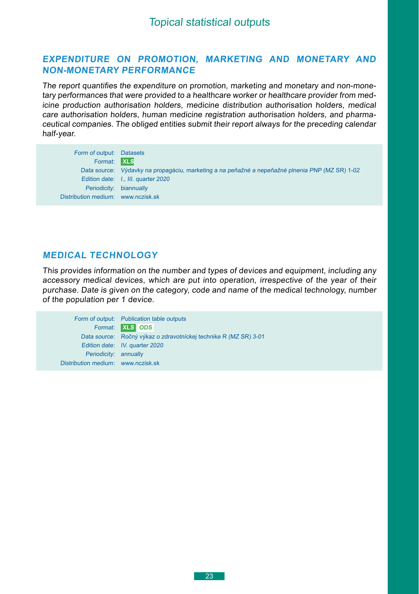#### <span id="page-22-0"></span>**Expenditure on promotion, marketing and monetary and non-monetary performance**

The report quantifies the expenditure on promotion, marketing and monetary and non-monetary performances that were provided to a healthcare worker or healthcare provider from medicine production authorisation holders, medicine distribution authorisation holders, medical care authorisation holders, human medicine registration authorisation holders, and pharmaceutical companies. The obliged entities submit their report always for the preceding calendar half-year.

| Form of output: Datasets           |                                                                                                 |
|------------------------------------|-------------------------------------------------------------------------------------------------|
| Format: XLS                        |                                                                                                 |
|                                    | Data source: Výdavky na propagáciu, marketing a na peňažné a nepeňažné plnenia PNP (MZ SR) 1-02 |
|                                    | Edition date: I., III. quarter 2020                                                             |
| Periodicity: biannually            |                                                                                                 |
| Distribution medium: www.nczisk.sk |                                                                                                 |

## **Medical technology**

This provides information on the number and types of devices and equipment, including any accessory medical devices, which are put into operation, irrespective of the year of their purchase. Date is given on the category, code and name of the medical technology, number of the population per 1 device.

Form of output: Publication table outputs Format: **XLS ODS**  Data source: Ročný výkaz o zdravotníckej technike R (MZ SR) 3-01 Edition date: IV. quarter 2020 Periodicity: annually Distribution medium: [www.nczisk.sk](http://www.nczisk.sk/Statisticke_vystupy/Tematicke_statisticke_vystupy/Pages/default.aspx)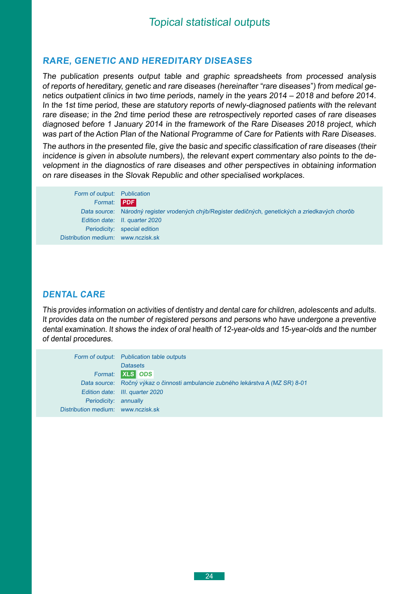### <span id="page-23-0"></span>**Rare, genetic and hereditary diseases**

The publication presents output table and graphic spreadsheets from processed analysis of reports of hereditary, genetic and rare diseases (hereinafter "rare diseases") from medical genetics outpatient clinics in two time periods, namely in the years 2014 – 2018 and before 2014. In the 1st time period, these are statutory reports of newly-diagnosed patients with the relevant rare disease; in the 2nd time period these are retrospectively reported cases of rare diseases diagnosed before 1 January 2014 in the framework of the Rare Diseases 2018 project, which was part of the Action Plan of the National Programme of Care for Patients with Rare Diseases.

The authors in the presented file, give the basic and specific classification of rare diseases (their incidence is given in absolute numbers), the relevant expert commentary also points to the development in the diagnostics of rare diseases and other perspectives in obtaining information on rare diseases in the Slovak Republic and other specialised workplaces.

| Form of output: Publication        |                                                                                                   |
|------------------------------------|---------------------------------------------------------------------------------------------------|
| Format: PDF                        |                                                                                                   |
|                                    | Data source: Národný register vrodených chýb/Register dedičných, genetických a zriedkavých chorôb |
|                                    | Edition date: II. quarter 2020                                                                    |
|                                    | Periodicity: special edition                                                                      |
| Distribution medium: www.nczisk.sk |                                                                                                   |

#### **Dental care**

This provides information on activities of dentistry and dental care for children, adolescents and adults. It provides data on the number of registered persons and persons who have undergone a preventive dental examination. It shows the index of oral health of 12-year-olds and 15-year-olds and the number of dental procedures.

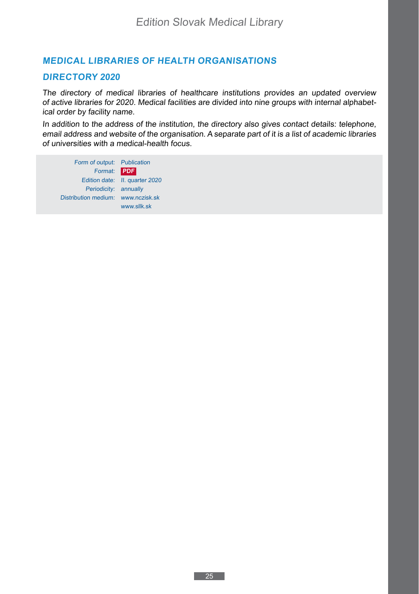## <span id="page-24-0"></span>**Medical libraries of health organisations**

#### **Directory 2020**

The directory of medical libraries of healthcare institutions provides an updated overview of active libraries for 2020. Medical facilities are divided into nine groups with internal alphabetical order by facility name.

In addition to the address of the institution, the directory also gives contact details: telephone, email address and website of the organisation. A separate part of it is a list of academic libraries of universities with a medical-health focus.

Form of output: Publication Format: **PDF** Edition date: II. quarter 2020 Periodicity: annually Distribution medium: www.nczisk.sk www.sllk.sk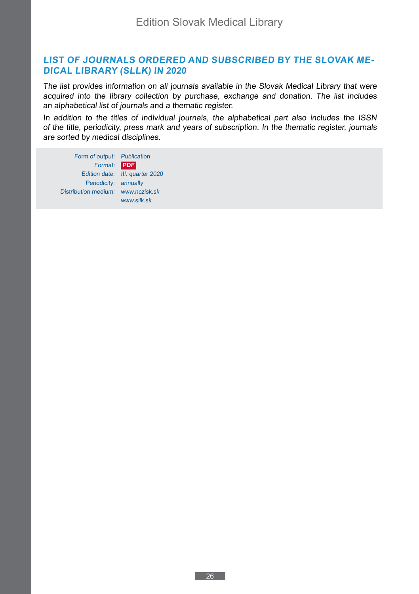## <span id="page-25-0"></span>**List of journals ordered and subscribed by the Slovak Medical Library (SlLK) in 2020**

The list provides information on all journals available in the Slovak Medical Library that were acquired into the library collection by purchase, exchange and donation. The list includes an alphabetical list of journals and a thematic register.

In addition to the titles of individual journals, the alphabetical part also includes the ISSN of the title, periodicity, press mark and years of subscription. In the thematic register, journals are sorted by medical disciplines.

Form of output: Publication Format: **PDF** Edition date: III. quarter 2020 Periodicity: annually Distribution medium: www.nczisk.sk www.sllk.sk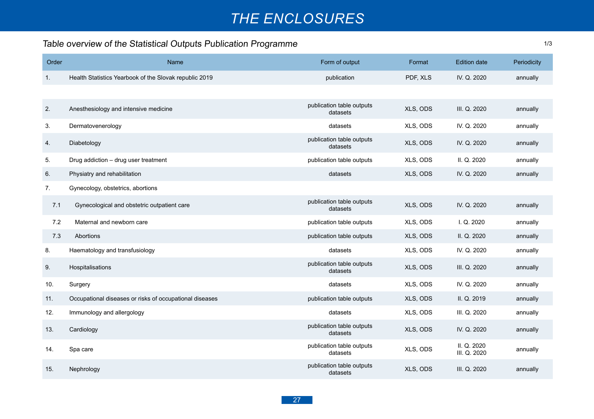# *The Enclosures*

1/3

# <span id="page-26-0"></span>Table overview of the Statistical Outputs Publication Programme

| Order | Name                                                    | Form of output                        | Format   | <b>Edition date</b>         | Periodicity |
|-------|---------------------------------------------------------|---------------------------------------|----------|-----------------------------|-------------|
| 1.    | Health Statistics Yearbook of the Slovak republic 2019  | publication                           | PDF, XLS | IV. Q. 2020                 | annually    |
|       |                                                         |                                       |          |                             |             |
| 2.    | Anesthesiology and intensive medicine                   | publication table outputs<br>datasets | XLS, ODS | III. Q. 2020                | annually    |
| 3.    | Dermatovenerology                                       | datasets                              | XLS, ODS | IV. Q. 2020                 | annually    |
| 4.    | Diabetology                                             | publication table outputs<br>datasets | XLS, ODS | IV. Q. 2020                 | annually    |
| 5.    | Drug addiction - drug user treatment                    | publication table outputs             | XLS, ODS | II. Q. 2020                 | annually    |
| 6.    | Physiatry and rehabilitation                            | datasets                              | XLS, ODS | IV. Q. 2020                 | annually    |
| 7.    | Gynecology, obstetrics, abortions                       |                                       |          |                             |             |
| 7.1   | Gynecological and obstetric outpatient care             | publication table outputs<br>datasets | XLS, ODS | IV. Q. 2020                 | annually    |
| 7.2   | Maternal and newborn care                               | publication table outputs             | XLS, ODS | I. Q. 2020                  | annually    |
| 7.3   | <b>Abortions</b>                                        | publication table outputs             | XLS, ODS | II. Q. 2020                 | annually    |
| 8.    | Haematology and transfusiology                          | datasets                              | XLS, ODS | IV. Q. 2020                 | annually    |
| 9.    | Hospitalisations                                        | publication table outputs<br>datasets | XLS, ODS | III. Q. 2020                | annually    |
| 10.   | Surgery                                                 | datasets                              | XLS, ODS | IV. Q. 2020                 | annually    |
| 11.   | Occupational diseases or risks of occupational diseases | publication table outputs             | XLS, ODS | II. Q. 2019                 | annually    |
| 12.   | Immunology and allergology                              | datasets                              | XLS, ODS | III. Q. 2020                | annually    |
| 13.   | Cardiology                                              | publication table outputs<br>datasets | XLS, ODS | IV. Q. 2020                 | annually    |
| 14.   | Spa care                                                | publication table outputs<br>datasets | XLS, ODS | II. Q. 2020<br>III. Q. 2020 | annually    |
| 15.   | Nephrology                                              | publication table outputs<br>datasets | XLS, ODS | III. Q. 2020                | annually    |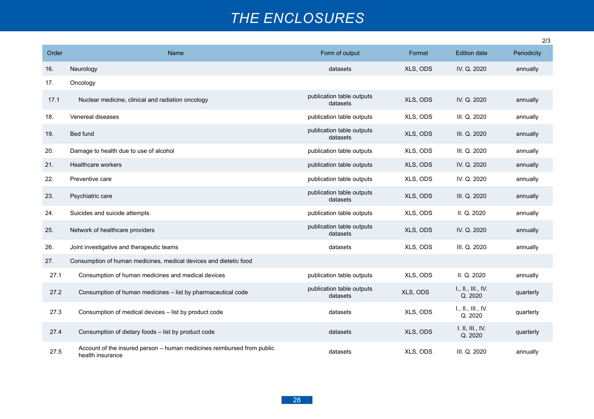# *The Enclosures*

|       |                                                                                            |                                       |          |                               | 2/3         |
|-------|--------------------------------------------------------------------------------------------|---------------------------------------|----------|-------------------------------|-------------|
| Order | Name                                                                                       | Form of output                        | Format   | <b>Edition date</b>           | Periodicity |
| 16.   | Neurology                                                                                  | datasets                              | XLS, ODS | IV. Q. 2020                   | annually    |
| 17.   | Oncology                                                                                   |                                       |          |                               |             |
| 17.1  | Nuclear medicine, clinical and radiation oncology                                          | publication table outputs<br>datasets | XLS, ODS | IV. Q. 2020                   | annually    |
| 18.   | Venereal diseases                                                                          | publication table outputs             | XLS, ODS | III. Q. 2020                  | annually    |
| 19.   | Bed fund                                                                                   | publication table outputs<br>datasets | XLS, ODS | III. Q. 2020                  | annually    |
| 20.   | Damage to health due to use of alcohol                                                     | publication table outputs             | XLS, ODS | III. Q. 2020                  | annually    |
| 21.   | Healthcare workers                                                                         | publication table outputs             | XLS, ODS | IV. Q. 2020                   | annually    |
| 22.   | Preventive care                                                                            | publication table outputs             | XLS, ODS | IV. Q. 2020                   | annually    |
| 23.   | Psychiatric care                                                                           | publication table outputs<br>datasets | XLS, ODS | III. Q. 2020                  | annually    |
| 24.   | Suicides and suicide attempts                                                              | publication table outputs             | XLS, ODS | II. Q. 2020                   | annually    |
| 25.   | Network of healthcare providers                                                            | publication table outputs<br>datasets | XLS, ODS | IV. Q. 2020                   | annually    |
| 26.   | Joint investigative and therapeutic teams                                                  | datasets                              | XLS, ODS | III. Q. 2020                  | annually    |
| 27.   | Consumption of human medicines, medical devices and dietetic food                          |                                       |          |                               |             |
| 27.1  | Consumption of human medicines and medical devices                                         | publication table outputs             | XLS, ODS | II. Q. 2020                   | annually    |
| 27.2  | Consumption of human medicines - list by pharmaceutical code                               | publication table outputs<br>datasets | XLS, ODS | L., IL., III., IV.<br>Q. 2020 | quarterly   |
| 27.3  | Consumption of medical devices - list by product code                                      | datasets                              | XLS, ODS | L., IL., III., IV.<br>Q. 2020 | quarterly   |
| 27.4  | Consumption of dietary foods - list by product code                                        | datasets                              | XLS, ODS | I. II, III., IV.<br>Q. 2020   | quarterly   |
| 27.5  | Account of the insured person - human medicines reimbursed from public<br>health insurance | datasets                              | XLS, ODS | III. Q. 2020                  | annually    |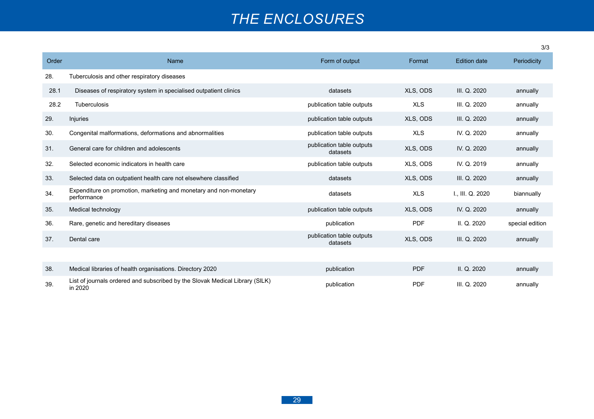# *The Enclosures*

|       |                                                                                         |                                       |            |                     | 3/3             |  |
|-------|-----------------------------------------------------------------------------------------|---------------------------------------|------------|---------------------|-----------------|--|
| Order | Name                                                                                    | Form of output                        | Format     | <b>Edition date</b> | Periodicity     |  |
| 28.   | Tuberculosis and other respiratory diseases                                             |                                       |            |                     |                 |  |
| 28.1  | Diseases of respiratory system in specialised outpatient clinics                        | datasets                              | XLS, ODS   | III. Q. 2020        | annually        |  |
| 28.2  | Tuberculosis                                                                            | publication table outputs             | <b>XLS</b> | III. Q. 2020        | annually        |  |
| 29.   | Injuries                                                                                | publication table outputs             | XLS, ODS   | III. Q. 2020        | annually        |  |
| 30.   | Congenital malformations, deformations and abnormalities                                | publication table outputs             | <b>XLS</b> | IV. Q. 2020         | annually        |  |
| 31.   | General care for children and adolescents                                               | publication table outputs<br>datasets | XLS, ODS   | IV. Q. 2020         | annually        |  |
| 32.   | Selected economic indicators in health care                                             | publication table outputs             | XLS, ODS   | IV. Q. 2019         | annually        |  |
| 33.   | Selected data on outpatient health care not elsewhere classified                        | datasets                              | XLS, ODS   | III. Q. 2020        | annually        |  |
| 34.   | Expenditure on promotion, marketing and monetary and non-monetary<br>performance        | datasets                              | <b>XLS</b> | I., III. Q. 2020    | biannually      |  |
| 35.   | Medical technology                                                                      | publication table outputs             | XLS, ODS   | IV. Q. 2020         | annually        |  |
| 36.   | Rare, genetic and hereditary diseases                                                   | publication                           | PDF        | II. Q. 2020         | special edition |  |
| 37.   | Dental care                                                                             | publication table outputs<br>datasets | XLS, ODS   | III. Q. 2020        | annually        |  |
|       |                                                                                         |                                       |            |                     |                 |  |
| 38.   | Medical libraries of health organisations. Directory 2020                               | publication                           | <b>PDF</b> | II. Q. 2020         | annually        |  |
| 39.   | List of journals ordered and subscribed by the Slovak Medical Library (SILK)<br>in 2020 | publication                           | <b>PDF</b> | III. Q. 2020        | annually        |  |

3/3